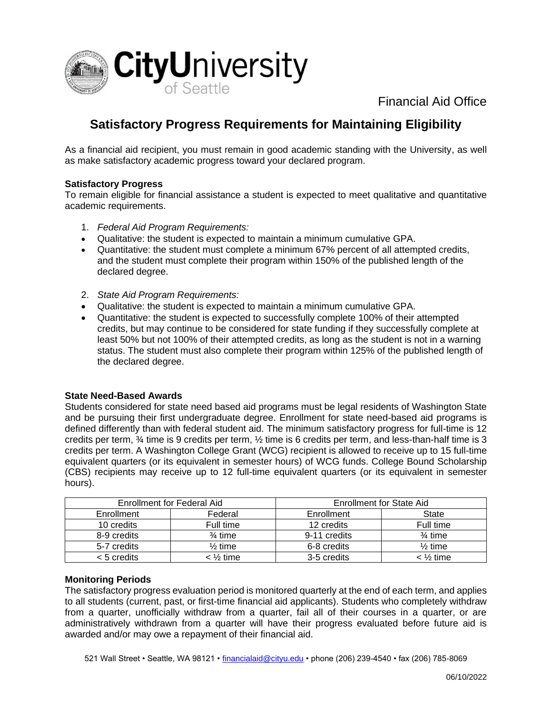

Financial Aid Office

# **Satisfactory Progress Requirements for Maintaining Eligibility**

As a financial aid recipient, you must remain in good academic standing with the University, as well as make satisfactory academic progress toward your declared program.

## **Satisfactory Progress**

To remain eligible for financial assistance a student is expected to meet qualitative and quantitative academic requirements.

- 1. *Federal Aid Program Requirements:*
- Qualitative: the student is expected to maintain a minimum cumulative GPA.
- Quantitative: the student must complete a minimum 67% percent of all attempted credits, and the student must complete their program within 150% of the published length of the declared degree.
- 2. *State Aid Program Requirements:*
- Qualitative: the student is expected to maintain a minimum cumulative GPA.
- Quantitative: the student is expected to successfully complete 100% of their attempted credits, but may continue to be considered for state funding if they successfully complete at least 50% but not 100% of their attempted credits, as long as the student is not in a warning status. The student must also complete their program within 125% of the published length of the declared degree.

#### **State Need-Based Awards**

Students considered for state need based aid programs must be legal residents of Washington State and be pursuing their first undergraduate degree. Enrollment for state need-based aid programs is defined differently than with federal student aid. The minimum satisfactory progress for full-time is 12 credits per term, ¾ time is 9 credits per term, ½ time is 6 credits per term, and less-than-half time is 3 credits per term. A Washington College Grant (WCG) recipient is allowed to receive up to 15 full-time equivalent quarters (or its equivalent in semester hours) of WCG funds. College Bound Scholarship (CBS) recipients may receive up to 12 full-time equivalent quarters (or its equivalent in semester hours).

| Enrollment for Federal Aid |                    | <b>Enrollment for State Aid</b> |                    |
|----------------------------|--------------------|---------------------------------|--------------------|
| Enrollment                 | Federal            | Enrollment                      | State              |
| 10 credits                 | Full time          | 12 credits                      | Full time          |
| 8-9 credits                | $\frac{3}{4}$ time | 9-11 credits                    | $\frac{3}{4}$ time |
| 5-7 credits                | $\frac{1}{2}$ time | 6-8 credits                     | $\frac{1}{2}$ time |
| < 5 credits                | < ½ time           | 3-5 credits                     | < ½ time           |

## **Monitoring Periods**

The satisfactory progress evaluation period is monitored quarterly at the end of each term, and applies to all students (current, past, or first-time financial aid applicants). Students who completely withdraw from a quarter, unofficially withdraw from a quarter, fail all of their courses in a quarter, or are administratively withdrawn from a quarter will have their progress evaluated before future aid is awarded and/or may owe a repayment of their financial aid.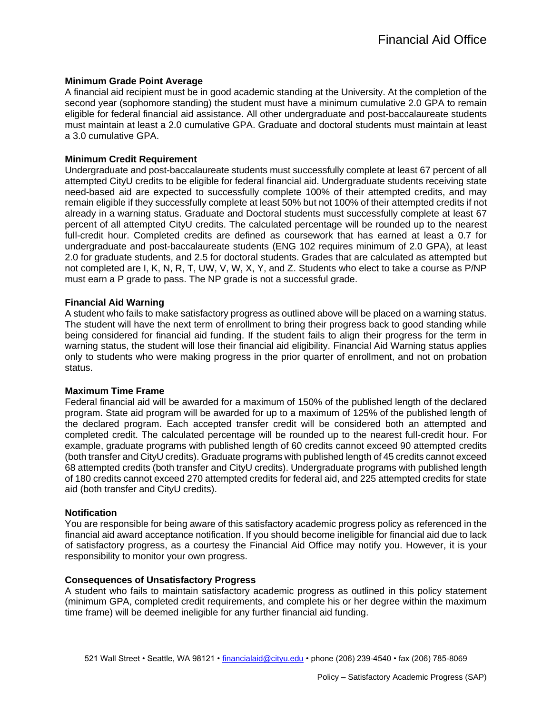## **Minimum Grade Point Average**

A financial aid recipient must be in good academic standing at the University. At the completion of the second year (sophomore standing) the student must have a minimum cumulative 2.0 GPA to remain eligible for federal financial aid assistance. All other undergraduate and post-baccalaureate students must maintain at least a 2.0 cumulative GPA. Graduate and doctoral students must maintain at least a 3.0 cumulative GPA.

# **Minimum Credit Requirement**

Undergraduate and post-baccalaureate students must successfully complete at least 67 percent of all attempted CityU credits to be eligible for federal financial aid. Undergraduate students receiving state need-based aid are expected to successfully complete 100% of their attempted credits, and may remain eligible if they successfully complete at least 50% but not 100% of their attempted credits if not already in a warning status. Graduate and Doctoral students must successfully complete at least 67 percent of all attempted CityU credits. The calculated percentage will be rounded up to the nearest full-credit hour. Completed credits are defined as coursework that has earned at least a 0.7 for undergraduate and post-baccalaureate students (ENG 102 requires minimum of 2.0 GPA), at least 2.0 for graduate students, and 2.5 for doctoral students. Grades that are calculated as attempted but not completed are I, K, N, R, T, UW, V, W, X, Y, and Z. Students who elect to take a course as P/NP must earn a P grade to pass. The NP grade is not a successful grade.

# **Financial Aid Warning**

A student who fails to make satisfactory progress as outlined above will be placed on a warning status. The student will have the next term of enrollment to bring their progress back to good standing while being considered for financial aid funding. If the student fails to align their progress for the term in warning status, the student will lose their financial aid eligibility. Financial Aid Warning status applies only to students who were making progress in the prior quarter of enrollment, and not on probation status.

## **Maximum Time Frame**

Federal financial aid will be awarded for a maximum of 150% of the published length of the declared program. State aid program will be awarded for up to a maximum of 125% of the published length of the declared program. Each accepted transfer credit will be considered both an attempted and completed credit. The calculated percentage will be rounded up to the nearest full-credit hour. For example, graduate programs with published length of 60 credits cannot exceed 90 attempted credits (both transfer and CityU credits). Graduate programs with published length of 45 credits cannot exceed 68 attempted credits (both transfer and CityU credits). Undergraduate programs with published length of 180 credits cannot exceed 270 attempted credits for federal aid, and 225 attempted credits for state aid (both transfer and CityU credits).

## **Notification**

You are responsible for being aware of this satisfactory academic progress policy as referenced in the financial aid award acceptance notification. If you should become ineligible for financial aid due to lack of satisfactory progress, as a courtesy the Financial Aid Office may notify you. However, it is your responsibility to monitor your own progress.

## **Consequences of Unsatisfactory Progress**

A student who fails to maintain satisfactory academic progress as outlined in this policy statement (minimum GPA, completed credit requirements, and complete his or her degree within the maximum time frame) will be deemed ineligible for any further financial aid funding.